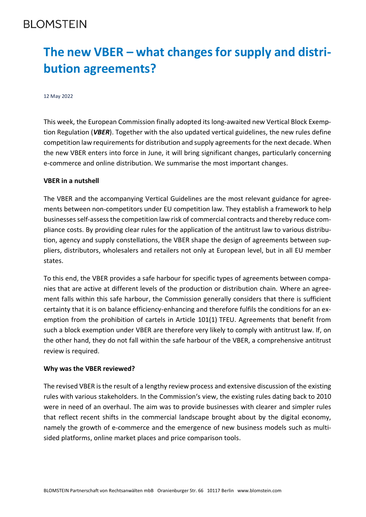## **BLOMSTEIN**

# **The new VBER – what changes for supply and distribution agreements?**

#### 12 May 2022

This week, the European Commission finally adopted its long-awaited new Vertical Block Exemption Regulation (*VBER*). Together with the also updated vertical guidelines, the new rules define competition law requirements for distribution and supply agreements for the next decade. When the new VBER enters into force in June, it will bring significant changes, particularly concerning e-commerce and online distribution. We summarise the most important changes.

#### **VBER in a nutshell**

The VBER and the accompanying Vertical Guidelines are the most relevant guidance for agreements between non-competitors under EU competition law. They establish a framework to help businesses self-assess the competition law risk of commercial contracts and thereby reduce compliance costs. By providing clear rules for the application of the antitrust law to various distribution, agency and supply constellations, the VBER shape the design of agreements between suppliers, distributors, wholesalers and retailers not only at European level, but in all EU member states.

To this end, the VBER provides a safe harbour for specific types of agreements between companies that are active at different levels of the production or distribution chain. Where an agreement falls within this safe harbour, the Commission generally considers that there is sufficient certainty that it is on balance efficiency-enhancing and therefore fulfils the conditions for an exemption from the prohibition of cartels in Article 101(1) TFEU. Agreements that benefit from such a block exemption under VBER are therefore very likely to comply with antitrust law. If, on the other hand, they do not fall within the safe harbour of the VBER, a comprehensive antitrust review is required.

#### **Why was the VBER reviewed?**

The revised VBER is the result of a lengthy review process and extensive discussion of the existing rules with various stakeholders. In the Commission's view, the existing rules dating back to 2010 were in need of an overhaul. The aim was to provide businesses with clearer and simpler rules that reflect recent shifts in the commercial landscape brought about by the digital economy, namely the growth of e-commerce and the emergence of new business models such as multisided platforms, online market places and price comparison tools.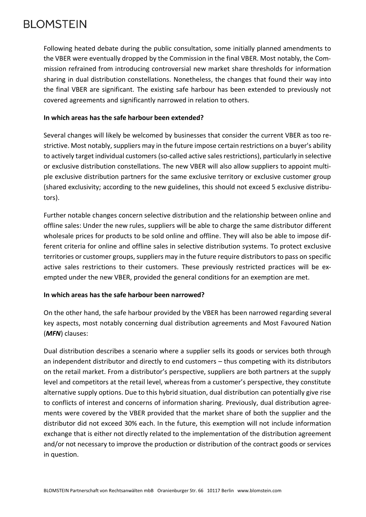## **BI OMSTEIN**

Following heated debate during the public consultation, some initially planned amendments to the VBER were eventually dropped by the Commission in the final VBER. Most notably, the Commission refrained from introducing controversial new market share thresholds for information sharing in dual distribution constellations. Nonetheless, the changes that found their way into the final VBER are significant. The existing safe harbour has been extended to previously not covered agreements and significantly narrowed in relation to others.

#### **In which areas has the safe harbour been extended?**

Several changes will likely be welcomed by businesses that consider the current VBER as too restrictive. Most notably, suppliers may in the future impose certain restrictions on a buyer's ability to actively target individual customers (so-called active sales restrictions), particularly in selective or exclusive distribution constellations. The new VBER will also allow suppliers to appoint multiple exclusive distribution partners for the same exclusive territory or exclusive customer group (shared exclusivity; according to the new guidelines, this should not exceed 5 exclusive distributors).

Further notable changes concern selective distribution and the relationship between online and offline sales: Under the new rules, suppliers will be able to charge the same distributor different wholesale prices for products to be sold online and offline. They will also be able to impose different criteria for online and offline sales in selective distribution systems. To protect exclusive territories or customer groups, suppliers may in the future require distributors to pass on specific active sales restrictions to their customers. These previously restricted practices will be exempted under the new VBER, provided the general conditions for an exemption are met.

#### **In which areas has the safe harbour been narrowed?**

On the other hand, the safe harbour provided by the VBER has been narrowed regarding several key aspects, most notably concerning dual distribution agreements and Most Favoured Nation (*MFN*) clauses:

Dual distribution describes a scenario where a supplier sells its goods or services both through an independent distributor and directly to end customers – thus competing with its distributors on the retail market. From a distributor's perspective, suppliers are both partners at the supply level and competitors at the retail level, whereas from a customer's perspective, they constitute alternative supply options. Due to this hybrid situation, dual distribution can potentially give rise to conflicts of interest and concerns of information sharing. Previously, dual distribution agreements were covered by the VBER provided that the market share of both the supplier and the distributor did not exceed 30% each. In the future, this exemption will not include information exchange that is either not directly related to the implementation of the distribution agreement and/or not necessary to improve the production or distribution of the contract goods or services in question.